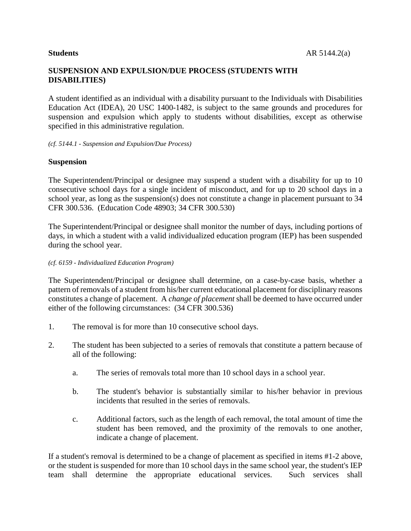A student identified as an individual with a disability pursuant to the Individuals with Disabilities Education Act (IDEA), 20 USC 1400-1482, is subject to the same grounds and procedures for suspension and expulsion which apply to students without disabilities, except as otherwise specified in this administrative regulation.

### *(cf. 5144.1 - Suspension and Expulsion/Due Process)*

# **Suspension**

The Superintendent/Principal or designee may suspend a student with a disability for up to 10 consecutive school days for a single incident of misconduct, and for up to 20 school days in a school year, as long as the suspension(s) does not constitute a change in placement pursuant to 34 CFR 300.536. (Education Code 48903; 34 CFR 300.530)

The Superintendent/Principal or designee shall monitor the number of days, including portions of days, in which a student with a valid individualized education program (IEP) has been suspended during the school year.

### *(cf. 6159 - Individualized Education Program)*

The Superintendent/Principal or designee shall determine, on a case-by-case basis, whether a pattern of removals of a student from his/her current educational placement for disciplinary reasons constitutes a change of placement. A *change of placement* shall be deemed to have occurred under either of the following circumstances: (34 CFR 300.536)

- 1. The removal is for more than 10 consecutive school days.
- 2. The student has been subjected to a series of removals that constitute a pattern because of all of the following:
	- a. The series of removals total more than 10 school days in a school year.
	- b. The student's behavior is substantially similar to his/her behavior in previous incidents that resulted in the series of removals.
	- c. Additional factors, such as the length of each removal, the total amount of time the student has been removed, and the proximity of the removals to one another, indicate a change of placement.

If a student's removal is determined to be a change of placement as specified in items #1-2 above, or the student is suspended for more than 10 school days in the same school year, the student's IEP team shall determine the appropriate educational services. Such services shall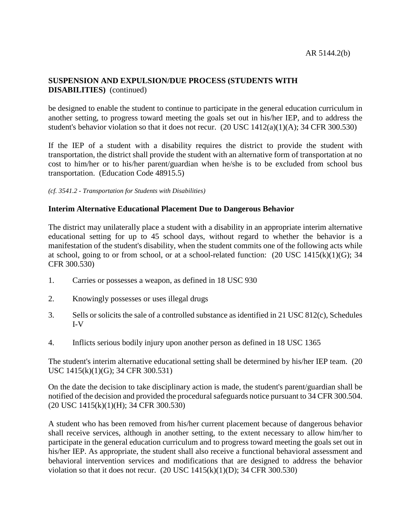be designed to enable the student to continue to participate in the general education curriculum in another setting, to progress toward meeting the goals set out in his/her IEP, and to address the student's behavior violation so that it does not recur.  $(20$  USC  $1412(a)(1)(A)$ ; 34 CFR 300.530)

If the IEP of a student with a disability requires the district to provide the student with transportation, the district shall provide the student with an alternative form of transportation at no cost to him/her or to his/her parent/guardian when he/she is to be excluded from school bus transportation. (Education Code 48915.5)

*(cf. 3541.2 - Transportation for Students with Disabilities)*

# **Interim Alternative Educational Placement Due to Dangerous Behavior**

The district may unilaterally place a student with a disability in an appropriate interim alternative educational setting for up to 45 school days, without regard to whether the behavior is a manifestation of the student's disability, when the student commits one of the following acts while at school, going to or from school, or at a school-related function:  $(20 \text{ USC } 1415(k)(1)(G); 34$ CFR 300.530)

- 1. Carries or possesses a weapon, as defined in 18 USC 930
- 2. Knowingly possesses or uses illegal drugs
- 3. Sells or solicits the sale of a controlled substance as identified in 21 USC 812(c), Schedules I-V
- 4. Inflicts serious bodily injury upon another person as defined in 18 USC 1365

The student's interim alternative educational setting shall be determined by his/her IEP team. (20 USC 1415(k)(1)(G); 34 CFR 300.531)

On the date the decision to take disciplinary action is made, the student's parent/guardian shall be notified of the decision and provided the procedural safeguards notice pursuant to 34 CFR 300.504. (20 USC 1415(k)(1)(H); 34 CFR 300.530)

A student who has been removed from his/her current placement because of dangerous behavior shall receive services, although in another setting, to the extent necessary to allow him/her to participate in the general education curriculum and to progress toward meeting the goals set out in his/her IEP. As appropriate, the student shall also receive a functional behavioral assessment and behavioral intervention services and modifications that are designed to address the behavior violation so that it does not recur.  $(20$  USC  $1415(k)(1)(D)$ ; 34 CFR 300.530)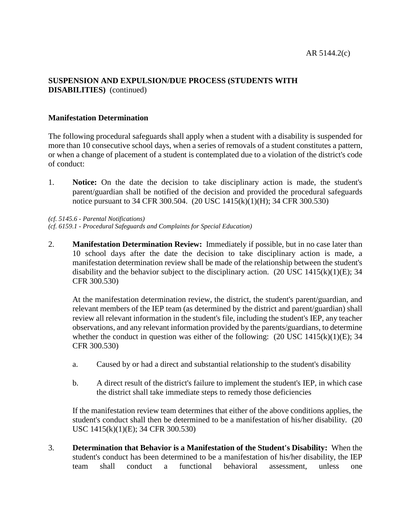# **Manifestation Determination**

The following procedural safeguards shall apply when a student with a disability is suspended for more than 10 consecutive school days, when a series of removals of a student constitutes a pattern, or when a change of placement of a student is contemplated due to a violation of the district's code of conduct:

1. **Notice:** On the date the decision to take disciplinary action is made, the student's parent/guardian shall be notified of the decision and provided the procedural safeguards notice pursuant to 34 CFR 300.504. (20 USC 1415(k)(1)(H); 34 CFR 300.530)

*(cf. 5145.6 - Parental Notifications) (cf. 6159.1 - Procedural Safeguards and Complaints for Special Education)*

2. **Manifestation Determination Review:** Immediately if possible, but in no case later than 10 school days after the date the decision to take disciplinary action is made, a manifestation determination review shall be made of the relationship between the student's disability and the behavior subject to the disciplinary action.  $(20 \text{ USC } 1415(k)(1)(E); 34$ CFR 300.530)

At the manifestation determination review, the district, the student's parent/guardian, and relevant members of the IEP team (as determined by the district and parent/guardian) shall review all relevant information in the student's file, including the student's IEP, any teacher observations, and any relevant information provided by the parents/guardians, to determine whether the conduct in question was either of the following:  $(20 \text{ USC } 1415(k)(1)(E); 34$ CFR 300.530)

- a. Caused by or had a direct and substantial relationship to the student's disability
- b. A direct result of the district's failure to implement the student's IEP, in which case the district shall take immediate steps to remedy those deficiencies

If the manifestation review team determines that either of the above conditions applies, the student's conduct shall then be determined to be a manifestation of his/her disability. (20 USC 1415(k)(1)(E); 34 CFR 300.530)

3. **Determination that Behavior is a Manifestation of the Student's Disability:** When the student's conduct has been determined to be a manifestation of his/her disability, the IEP team shall conduct a functional behavioral assessment, unless one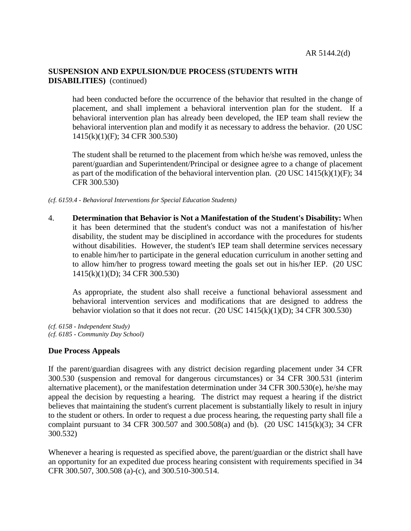had been conducted before the occurrence of the behavior that resulted in the change of placement, and shall implement a behavioral intervention plan for the student. If a behavioral intervention plan has already been developed, the IEP team shall review the behavioral intervention plan and modify it as necessary to address the behavior. (20 USC 1415(k)(1)(F); 34 CFR 300.530)

The student shall be returned to the placement from which he/she was removed, unless the parent/guardian and Superintendent/Principal or designee agree to a change of placement as part of the modification of the behavioral intervention plan.  $(20$  USC  $1415(k)(1)(F)$ ; 34 CFR 300.530)

*(cf. 6159.4 - Behavioral Interventions for Special Education Students)*

4. **Determination that Behavior is Not a Manifestation of the Student's Disability:** When it has been determined that the student's conduct was not a manifestation of his/her disability, the student may be disciplined in accordance with the procedures for students without disabilities. However, the student's IEP team shall determine services necessary to enable him/her to participate in the general education curriculum in another setting and to allow him/her to progress toward meeting the goals set out in his/her IEP. (20 USC 1415(k)(1)(D); 34 CFR 300.530)

As appropriate, the student also shall receive a functional behavioral assessment and behavioral intervention services and modifications that are designed to address the behavior violation so that it does not recur.  $(20$  USC  $1415(k)(1)(D)$ ; 34 CFR 300.530)

*(cf. 6158 - Independent Study) (cf. 6185 - Community Day School)*

# **Due Process Appeals**

If the parent/guardian disagrees with any district decision regarding placement under 34 CFR 300.530 (suspension and removal for dangerous circumstances) or 34 CFR 300.531 (interim alternative placement), or the manifestation determination under 34 CFR 300.530(e), he/she may appeal the decision by requesting a hearing. The district may request a hearing if the district believes that maintaining the student's current placement is substantially likely to result in injury to the student or others. In order to request a due process hearing, the requesting party shall file a complaint pursuant to 34 CFR 300.507 and 300.508(a) and (b). (20 USC 1415(k)(3); 34 CFR 300.532)

Whenever a hearing is requested as specified above, the parent/guardian or the district shall have an opportunity for an expedited due process hearing consistent with requirements specified in 34 CFR 300.507, 300.508 (a)-(c), and 300.510-300.514.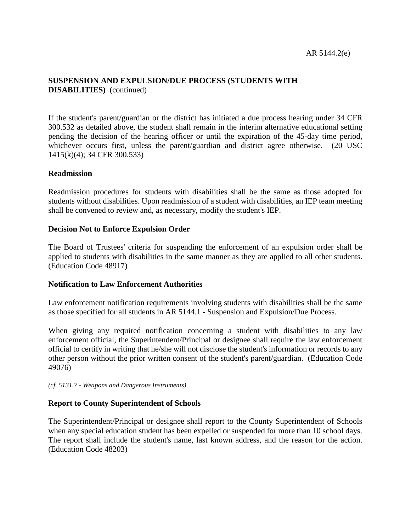If the student's parent/guardian or the district has initiated a due process hearing under 34 CFR 300.532 as detailed above, the student shall remain in the interim alternative educational setting pending the decision of the hearing officer or until the expiration of the 45-day time period, whichever occurs first, unless the parent/guardian and district agree otherwise. (20 USC 1415(k)(4); 34 CFR 300.533)

# **Readmission**

Readmission procedures for students with disabilities shall be the same as those adopted for students without disabilities. Upon readmission of a student with disabilities, an IEP team meeting shall be convened to review and, as necessary, modify the student's IEP.

### **Decision Not to Enforce Expulsion Order**

The Board of Trustees' criteria for suspending the enforcement of an expulsion order shall be applied to students with disabilities in the same manner as they are applied to all other students. (Education Code 48917)

# **Notification to Law Enforcement Authorities**

Law enforcement notification requirements involving students with disabilities shall be the same as those specified for all students in AR 5144.1 - Suspension and Expulsion/Due Process.

When giving any required notification concerning a student with disabilities to any law enforcement official, the Superintendent/Principal or designee shall require the law enforcement official to certify in writing that he/she will not disclose the student's information or records to any other person without the prior written consent of the student's parent/guardian. (Education Code 49076)

*(cf. 5131.7 - Weapons and Dangerous Instruments)*

# **Report to County Superintendent of Schools**

The Superintendent/Principal or designee shall report to the County Superintendent of Schools when any special education student has been expelled or suspended for more than 10 school days. The report shall include the student's name, last known address, and the reason for the action. (Education Code 48203)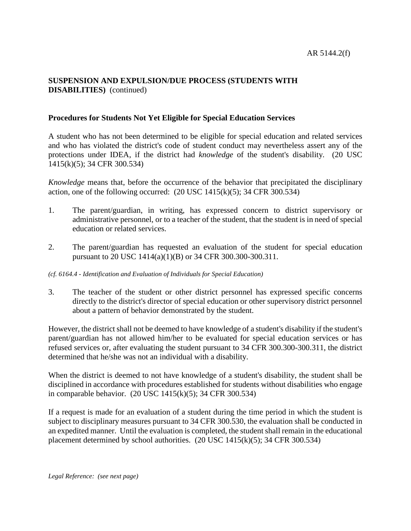# **Procedures for Students Not Yet Eligible for Special Education Services**

A student who has not been determined to be eligible for special education and related services and who has violated the district's code of student conduct may nevertheless assert any of the protections under IDEA, if the district had *knowledge* of the student's disability. (20 USC 1415(k)(5); 34 CFR 300.534)

*Knowledge* means that, before the occurrence of the behavior that precipitated the disciplinary action, one of the following occurred:  $(20$  USC  $1415(k)(5)$ ; 34 CFR 300.534)

- 1. The parent/guardian, in writing, has expressed concern to district supervisory or administrative personnel, or to a teacher of the student, that the student is in need of special education or related services.
- 2. The parent/guardian has requested an evaluation of the student for special education pursuant to 20 USC 1414(a)(1)(B) or 34 CFR 300.300-300.311.

#### *(cf. 6164.4 - Identification and Evaluation of Individuals for Special Education)*

3. The teacher of the student or other district personnel has expressed specific concerns directly to the district's director of special education or other supervisory district personnel about a pattern of behavior demonstrated by the student.

However, the district shall not be deemed to have knowledge of a student's disability if the student's parent/guardian has not allowed him/her to be evaluated for special education services or has refused services or, after evaluating the student pursuant to 34 CFR 300.300-300.311, the district determined that he/she was not an individual with a disability.

When the district is deemed to not have knowledge of a student's disability, the student shall be disciplined in accordance with procedures established for students without disabilities who engage in comparable behavior. (20 USC 1415(k)(5); 34 CFR 300.534)

If a request is made for an evaluation of a student during the time period in which the student is subject to disciplinary measures pursuant to 34 CFR 300.530, the evaluation shall be conducted in an expedited manner. Until the evaluation is completed, the student shall remain in the educational placement determined by school authorities. (20 USC 1415(k)(5); 34 CFR 300.534)